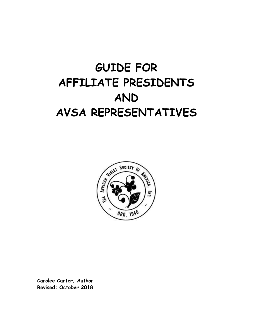# **GUIDE FOR AFFILIATE PRESIDENTS AND AVSA REPRESENTATIVES**



**Carolee Carter, Author Revised: October 2018**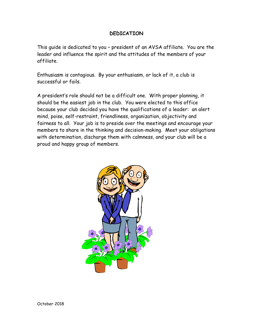#### **DEDICATION**

This guide is dedicated to you – president of an AVSA affiliate. You are the leader and influence the spirit and the attitudes of the members of your affiliate.

Enthusiasm is contagious. By your enthusiasm, or lack of it, a club is successful or fails.

A president's role should not be a difficult one. With proper planning, it should be the easiest job in the club. You were elected to this office because your club decided you have the qualifications of a leader: an alert mind, poise, self-restraint, friendliness, organization, objectivity and fairness to all. Your job is to preside over the meetings and encourage your members to share in the thinking and decision-making. Meet your obligations with determination, discharge them with calmness, and your club will be a proud and happy group of members.

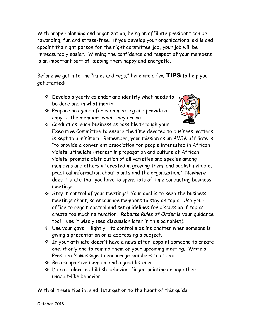With proper planning and organization, being an affiliate president can be rewarding, fun and stress-free. If you develop your organizational skills and appoint the right person for the right committee job, *your* job will be immeasurably easier. Winning the confidence and respect of your members is an important part of keeping them happy and energetic.

Before we get into the "rules and regs," here are a few TIPS to help you get started:

- Develop a yearly calendar and identify what needs to be done and in what month.
- $\cdot$  Prepare an agenda for each meeting and provide a copy to the members when they arrive.



- Conduct as much business as possible through your Executive Committee to ensure the time devoted to business matters is kept to a minimum. Remember, your mission as an AVSA affiliate is "to provide a convenient association for people interested in African violets, stimulate interest in propagation and culture of African violets, promote distribution of all varieties and species among members and others interested in growing them, and publish reliable, practical information about plants and the organization." Nowhere does it state that you have to spend lots of time conducting business meetings.
- Stay in control of your meetings! Your goal is to keep the business meetings short, so encourage members to stay on topic. Use your office to regain control and set guidelines for discussion if topics create too much reiteration. *Roberts Rules of Order* is your guidance tool – use it wisely (see discussion later in this pamphlet).
- $\cdot$  Use your gavel lightly to control sideline chatter when someone is giving a presentation or is addressing a subject.
- $\hat{P}$  If your affiliate doesn't have a newsletter, appoint someone to create one, if only one to remind them of your upcoming meeting. Write a President's Message to encourage members to attend.
- $\div$  Be a supportive member and a good listener.
- Do not tolerate childish behavior, finger-pointing or any other unadult-like behavior.

With all these tips in mind, let's get on to the heart of this guide: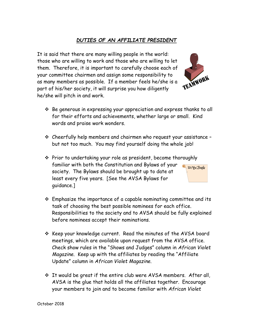#### *DUTIES OF AN AFFILIATE PRESIDENT*

It is said that there are many willing people in the world: those who are willing to work and those who are willing to let them. Therefore, it is important to carefully choose each of your committee chairmen and assign some responsibility to as many members as possible. If a member feels he/she is a part of his/her society, it will surprise you how diligently he/she will pitch in and work.

- $\hat{P}$  Be generous in expressing your appreciation and express thanks to all for their efforts and achievements, whether large or small. Kind words and praise work wonders.
- Cheerfully help members and chairmen who request your assistance but not too much. You may find yourself doing the whole job!
- $\hat{\mathbf{v}}$  Prior to undertaking your role as president, become thoroughly familiar with both the Constitution and Bylaws of your society. The Bylaws should be brought up to date at least every five years. [See the AVSA Bylaws for guidance.]
- $\hat{\mathbf{v}}$  Emphasize the importance of a capable nominating committee and its task of choosing the best possible nominees for each office. Responsibilities to the society and to AVSA should be fully explained before nominees accept their nominations.
- $\cdot$  Keep your knowledge current. Read the minutes of the AVSA board meetings, which are available upon request from the AVSA office. Check show rules in the "Shows and Judges" column in *African Violet Magazine*. Keep up with the affiliates by reading the "Affiliate Update" column in *African Violet Magazine*.
- It would be great if the entire club were AVSA members. After all, AVSA is the glue that holds all the affiliates together. Encourage your members to join and to become familiar with *African Violet*



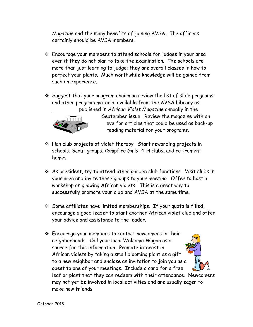*Magazine* and the many benefits of joining AVSA. The officers certainly should be AVSA members.

- Encourage your members to attend schools for judges in your area even if they do not plan to take the examination. The schools are more than just learning to judge; they are overall classes in how to perfect your plants. Much worthwhile knowledge will be gained from such an experience.
- $\div$  Suggest that your program chairman review the list of slide programs and other program material available from the AVSA Library as published in *African Violet Magazine* annually in the



September issue. Review the magazine with an eye for articles that could be used as back-up reading material for your programs.

- Plan club projects of violet therapy! Start rewarding projects in schools, Scout groups, Campfire Girls, 4-H clubs, and retirement homes.
- As president, try to attend other garden club functions. Visit clubs in your area and invite these groups to your meeting. Offer to host a workshop on growing African violets. This is a great way to successfully promote your club and AVSA at the same time.
- $\div$  Some affiliates have limited memberships. If your quota is filled, encourage a good leader to start another African violet club and offer your advice and assistance to the leader.
- Encourage your members to contact newcomers in their neighborhoods. Call your local Welcome Wagon as a source for this information. Promote interest in African violets by taking a small blooming plant as a gift to a new neighbor and enclose an invitation to join you as a guest to one of your meetings. Include a card for a free leaf or plant that they can redeem with their attendance. Newcomers may not yet be involved in local activities and are usually eager to make new friends.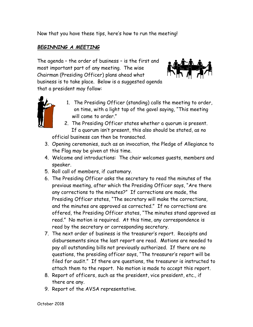Now that you have these tips, here's how to run the meeting!

#### *BEGINNING A MEETING*

that a president may follow:

The agenda – the order of business – is the first and most important part of any meeting. The wise Chairman (Presiding Officer) plans ahead what business is to take place. Below is a suggested agenda





- 1. The Presiding Officer (standing) calls the meeting to order, on time, with a light tap of the gavel saying, "This meeting will come to order."
- 2. The Presiding Officer states whether a quorum is present. If a quorum isn't present, this also should be stated, as no official business can then be transacted.
- 3. Opening ceremonies, such as an invocation, the Pledge of Allegiance to the Flag may be given at this time.
- 4. Welcome and introductions: The chair welcomes guests, members and speaker.
- 5. Roll call of members, if customary.
- 6. The Presiding Officer asks the secretary to read the minutes of the previous meeting, after which the Presiding Officer says, "Are there any corrections to the minutes?" If corrections are made, the Presiding Officer states, "The secretary will make the corrections, and the minutes are approved as corrected." If no corrections are offered, the Presiding Officer states, "The minutes stand approved as read." No motion is required. At this time, any correspondence is read by the secretary or corresponding secretary.
- 7. The next order of business is the treasurer's report. Receipts and disbursements since the last report are read. Motions are needed to pay all outstanding bills not previously authorized. If there are no questions, the presiding officer says, "The treasurer's report will be filed for audit." If there are questions, the treasurer is instructed to attach them to the report. No motion is made to accept this report.
- 8. Report of officers, such as the president, vice president, etc., if there are any.
- 9. Report of the AVSA representative.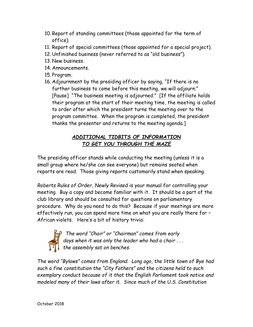- 10. Report of standing committees (those appointed for the term of office).
- 11. Report of special committees (those appointed for a special project).
- 12. Unfinished business (never referred to as "old business").
- 13. New business.
- 14. Announcements.
- 15. Program.
- 16. Adjournment by the presiding officer by saying, "If there is no further business to come before this meeting, we will adjourn." [Pause] "The business meeting is adjourned." [If the affiliate holds their program at the start of their meeting time, the meeting is called to order after which the president turns the meeting over to the program committee. When the program is completed, the president thanks the presenter and returns to the meeting agenda.]

### *ADDITIONAL TIDBITS OF INFORMATION TO GET YOU THROUGH THE MAZE*

The presiding officer stands while conducting the meeting (unless it is a small group where he/she can see everyone) but remains seated when reports are read. Those giving reports customarily stand when speaking.

*Roberts Rules of Order, Newly Revised* is your manual for controlling your meeting. Buy a copy and become familiar with it. It should be a part of the club library and should be consulted for questions on parliamentary procedure. Why do you need to do this? Because if your meetings are more effectively run, you can spend more time on what you are really there for – African violets. Here's a bit of history trivia:



*The word "Chair" or "Chairman" comes from early days when it was only the leader who had a chair . . . the assembly sat on benches.* 

*The word "Bylaws" comes from England. Long ago, the little town of Bye had such a fine constitution the "City Fathers" and the citizens held to such exemplary conduct because of it that the English Parliament took notice and modeled many of their laws after it. Since much of the U.S. Constitution*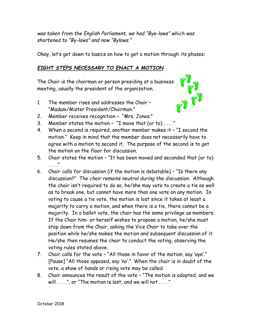*was taken from the English Parliament, we had "Bye-laws" which was shortened to "By-laws" and now "Bylaws."*

Okay, let's get down to basics on how to get a motion through its phases:

#### *EIGHT STEPS NECESSARY TO ENACT A MOTION*

The Chair is the chairman or person presiding at a business meeting, usually the president of the organization.

1. The member rises and addresses the Chair – "Madam/Mister President/Chairman."



- 2. Member receives recognition "Mrs. Jones."
- 3. Member states the motion "I move that (or to) . . . ."
- 4. When a second is required, another member makes it "I second the motion." Keep in mind that the member does not necessarily have to agree with a motion to second it. The purpose of the second is to get the motion on the floor for discussion.
- 5. Chair states the motion "It has been moved and seconded that (or to)  $\mathbf{u}$
- 6. Chair calls for discussion (if the motion is debatable) "Is there any discussion?" *The chair remains neutral during the discussion*. Although the chair isn't required to do so, he/she may vote to create a tie as well as to break one, but cannot have more than one vote on any motion. In voting to cause a tie vote, the motion is lost since it takes at least a majority to carry a motion, and when there is a tie, there cannot be a majority. In a ballot vote, the chair has the same privilege as members. If the Chair him- or herself wishes to propose a motion, he/she must step down from the Chair, asking the Vice Chair to take over the position while he/she makes the motion and subsequent discussion of it. He/she then resumes the chair to conduct the voting, observing the voting rules stated above.
- 7. Chair calls for the vote "All those in favor of the motion, say 'aye'." [Pause] "All those opposed, say 'no'." When the chair is in doubt of the vote, a show of hands or rising vote may be called.
- 8. Chair announces the result of the vote "The motion is adopted, and we will . . . .", or "The motion is lost, and we will not . . . ."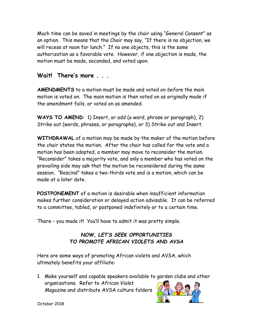Much time can be saved in meetings by the chair using "General Consent" as an option. This means that the Chair may say, "If there is no objection, we will recess at noon for lunch." If no one objects, this is the same authorization as a favorable vote. However, if one objection is made, the motion must be made, seconded, and voted upon.

## Wait! There's more

**AMENDMENTS** to a motion must be made and voted on *before* the main motion is voted on. The main motion is then voted on as originally made if the amendment fails, or voted on as amended.

**WAYS TO AMEND**: 1) Insert, or add (a word, phrase or paragraph), 2) Strike out (words, phrases, or paragraphs), or 3) Strike out and Insert.

**WITHDRAWAL** of a motion may be made by the maker of the motion before the chair states the motion. After the chair has called for the vote and a motion has been adopted, a member may move to reconsider the motion. "Reconsider" takes a majority vote, and only a member who has voted on the prevailing side may ask that the motion be reconsidered during the same session. "Rescind" takes a two-thirds vote and is a motion, which can be made at a later date.

**POSTPONEMENT** of a motion is desirable when insufficient information makes further consideration or delayed action advisable. It can be referred to a committee, tabled, or postponed indefinitely or to a certain time.

There – you made it! You'll have to admit it was pretty simple.

#### *NOW, LET'S SEEK OPPORTUNITIES TO PROMOTE AFRICAN VIOLETS AND AVSA*

Here are some ways of promoting African violets and AVSA, which ultimately benefits your affiliate:

1. Make yourself and capable speakers available to garden clubs and other organizations. Refer to *African Violet Magazine* and distribute AVSA culture folders



October 2018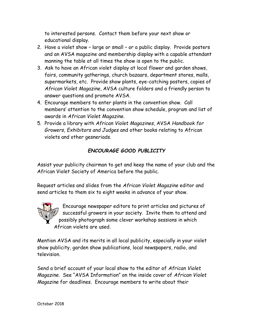to interested persons. Contact them before your next show or educational display.

- 2. Have a violet show large or small or a public display. Provide posters and an AVSA magazine and membership display with a capable attendant manning the table at all times the show is open to the public.
- 3. Ask to have an African violet display at local flower and garden shows, fairs, community gatherings, church bazaars, department stores, malls, supermarkets, etc. Provide show plants, eye-catching posters, copies of *African Violet Magazine*, AVSA culture folders and a friendly person to answer questions and promote AVSA.
- 4. Encourage members to enter plants in the convention show. Call members' attention to the convention show schedule, program and list of awards in *African Violet Magazine*.
- 5. Provide a library with *African Violet Magazines*, AVSA *Handbook for Growers, Exhibitors and Judges* and other books relating to African violets and other gesneriads.

### *ENCOURAGE GOOD PUBLICITY*

Assist your publicity chairman to get and keep the name of your club and the African Violet Society of America before the public.

Request articles and slides from the *African Violet Magazine* editor and send articles to them six to eight weeks in advance of your show.



Encourage newspaper editors to print articles and pictures of successful growers in your society. Invite them to attend and possibly photograph some clever workshop sessions in which African violets are used.

Mention AVSA and its merits in all local publicity, especially in your violet show publicity, garden show publications, local newspapers, radio, and television.

Send a brief account of your local show to the editor of *African Violet Magazine*. See "AVSA Information" on the inside cover of *African Violet Magazine* for deadlines. Encourage members to write about their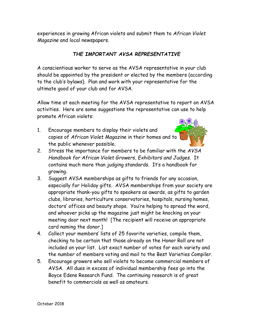experiences in growing African violets and submit them to *African Violet Magazine* and local newspapers.

#### *THE IMPORTANT AVSA REPRESENTATIVE*

A conscientious worker to serve as the AVSA representative in your club should be appointed by the president or elected by the members (according to the club's bylaws). Plan and work with your representative for the ultimate good of your club and for AVSA.

Allow time at each meeting for the AVSA representative to report on AVSA activities. Here are some suggestions the representative can use to help promote African violets:

1. Encourage members to display their violets and copies of *African Violet Magazine* in their homes and to the public whenever possible.



- 2. Stress the importance for members to be familiar with the *AVSA Handbook for African Violet Growers, Exhibitors and Judges.* It contains much more than judging standards. It's a handbook for growing.
- 3. Suggest AVSA memberships as gifts to friends for any occasion, especially for Holiday gifts. AVSA memberships from your society are appropriate thank-you gifts to speakers as awards, as gifts to garden clubs, libraries, horticulture conservatories, hospitals, nursing homes, doctors' offices and beauty shops. You're helping to spread the word, and whoever picks up the magazine just might be knocking on your meeting door next month! [The recipient will receive an appropriate card naming the donor.]
- 4. Collect your members' lists of 25 favorite varieties, compile them, checking to be certain that those already on the Honor Roll are not included on your list. List exact number of votes for each variety and the number of members voting and mail to the Best Varieties Compiler.
- 5. Encourage growers who sell violets to become commercial members of AVSA. All dues in excess of individual membership fees go into the Boyce Edens Research Fund. The continuing research is of great benefit to commercials as well as amateurs.